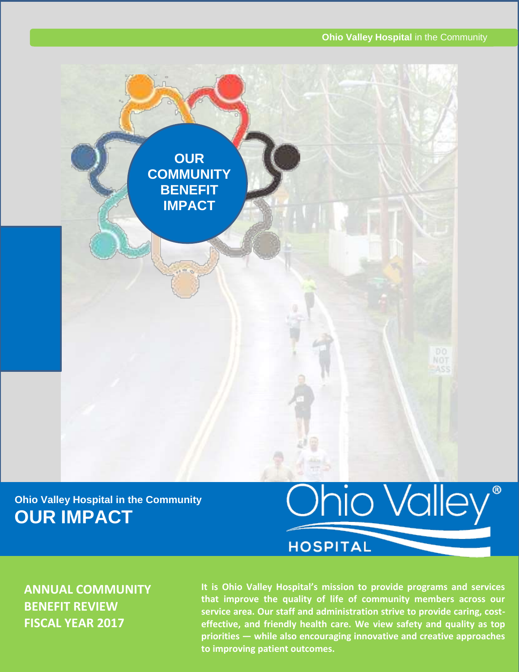

**Ohio Valley Hospital in the Community OUR IMPACT**



**ANNUAL COMMUNITY BENEFIT REVIEW FISCAL YEAR 2017**

**It is Ohio Valley Hospital's mission to provide programs and services that improve the quality of life of community members across our service area. Our staff and administration strive to provide caring, costeffective, and friendly health care. We view safety and quality as top priorities — while also encouraging innovative and creative approaches to improving patient outcomes.**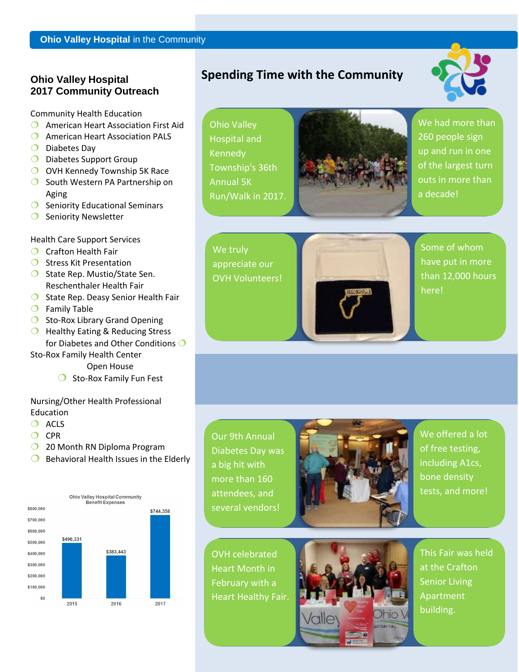### **Ohio Valley Hospital 2017 Community Outreach**

Community Health Education

- **O** American Heart Association First Aid
- **O** American Heart Association PALS
- $\bigcirc$  Diabetes Day
- O Diabetes Support Group
- O OVH Kennedy Township 5K Race
- $\bigcirc$  South Western PA Partnership on Aging
- $\bigcirc$  Seniority Educational Seminars
- $\bigcirc$  Seniority Newsletter

#### Health Care Support Services

- **O** Crafton Health Fair
- $\bigcirc$  Stress Kit Presentation
- $\bigcirc$  State Rep. Mustio/State Sen. Reschenthaler Health Fair
- $\bigcirc$  State Rep. Deasy Senior Health Fair
- $O$  Family Table
- $\bigcirc$  Sto-Rox Library Grand Opening
- $\bigcirc$  Healthy Eating & Reducing Stress for Diabetes and Other Conditions O
- Sto-Rox Family Health Center

Open House  $\bigcirc$  Sto-Rox Family Fun Fest

#### Nursing/Other Health Professional Education

- O ACLS
- O CPR
- O 20 Month RN Diploma Program
- $\bigcirc$  Behavioral Health Issues in the Elderly



# **Spending Time with the Community**



Ohio Valley Hospital and Kennedy Township's 36th Annual 5K Run/Walk in 2017.



We had more than 260 people sign up and run in one of the largest turn outs in more than a decade!

We truly appreciate our OVH Volunteers!



Some of whom have put in more than 12,000 hours here!

Our 9th Annual Diabetes Day was a big hit with more than 160 attendees, and several vendors!



We offered a lot of free testing, including A1cs, bone density tests, and more!

OVH celebrated Heart Month in February with a Heart Healthy Fair.



This Fair was held at the Crafton Senior Living Apartment building.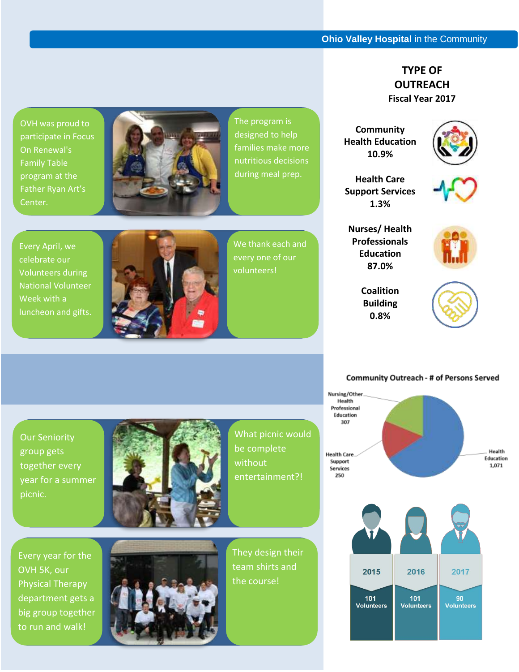#### **Ohio Valley Hospital in the Community**

**TYPE OF OUTREACH Fiscal Year 2017**

OVH was proud to participate in Focus On Renewal's Family Table program at the Father Ryan Art's Center.



The program is designed to help families make more nutritious decisions during meal prep.

Every April, we celebrate our Volunteers during National Volunteer Week with a luncheon and gifts.



We thank each and every one of our volunteers!

**Community Health Education 10.9%**

**Health Care Support Services 1.3%**

**Nurses/ Health Professionals Education 87.0%**



**Coalition Building 0.8%**

Nursing/Other.



### **Community Outreach - # of Persons Served**

Health Professional Education 307 Health **Health Care** Education Support 1,071 Services 250



Our Seniority group gets together every year for a summer picnic.



What picnic would be complete without entertainment?!

Every year for the OVH 5K, our Physical Therapy department gets a big group together to run and walk!



They design their team shirts and the course!